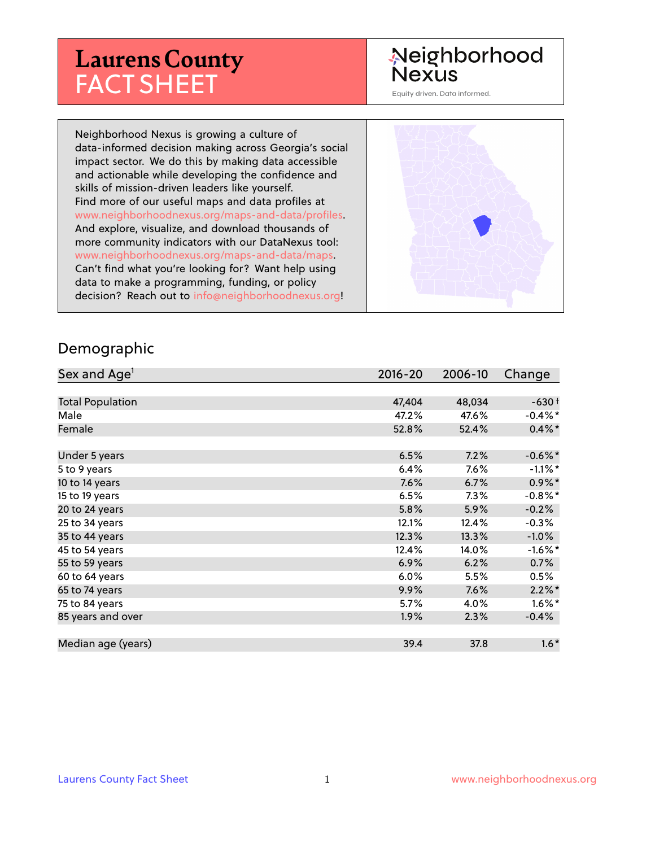# **Laurens County** FACT SHEET

## Neighborhood **Nexus**

Equity driven. Data informed.

Neighborhood Nexus is growing a culture of data-informed decision making across Georgia's social impact sector. We do this by making data accessible and actionable while developing the confidence and skills of mission-driven leaders like yourself. Find more of our useful maps and data profiles at www.neighborhoodnexus.org/maps-and-data/profiles. And explore, visualize, and download thousands of more community indicators with our DataNexus tool: www.neighborhoodnexus.org/maps-and-data/maps. Can't find what you're looking for? Want help using data to make a programming, funding, or policy decision? Reach out to [info@neighborhoodnexus.org!](mailto:info@neighborhoodnexus.org)



#### Demographic

| Sex and Age <sup>1</sup> | $2016 - 20$ | 2006-10 | Change               |
|--------------------------|-------------|---------|----------------------|
|                          |             |         |                      |
| <b>Total Population</b>  | 47,404      | 48,034  | $-630+$              |
| Male                     | 47.2%       | 47.6%   | $-0.4\%$ *           |
| Female                   | 52.8%       | 52.4%   | $0.4\% *$            |
|                          |             |         |                      |
| Under 5 years            | 6.5%        | 7.2%    | $-0.6\%$ *           |
| 5 to 9 years             | 6.4%        | 7.6%    | $-1.1\%$ *           |
| 10 to 14 years           | 7.6%        | 6.7%    | $0.9\%$ *            |
| 15 to 19 years           | 6.5%        | 7.3%    | $-0.8\%$ *           |
| 20 to 24 years           | 5.8%        | 5.9%    | $-0.2%$              |
| 25 to 34 years           | 12.1%       | 12.4%   | $-0.3%$              |
| 35 to 44 years           | 12.3%       | 13.3%   | $-1.0\%$             |
| 45 to 54 years           | 12.4%       | 14.0%   | $-1.6%$ *            |
| 55 to 59 years           | 6.9%        | 6.2%    | 0.7%                 |
| 60 to 64 years           | 6.0%        | 5.5%    | 0.5%                 |
| 65 to 74 years           | 9.9%        | 7.6%    | $2.2\%$ <sup>*</sup> |
| 75 to 84 years           | 5.7%        | 4.0%    | $1.6\%$ *            |
| 85 years and over        | $1.9\%$     | 2.3%    | $-0.4%$              |
|                          |             |         |                      |
| Median age (years)       | 39.4        | 37.8    | $1.6*$               |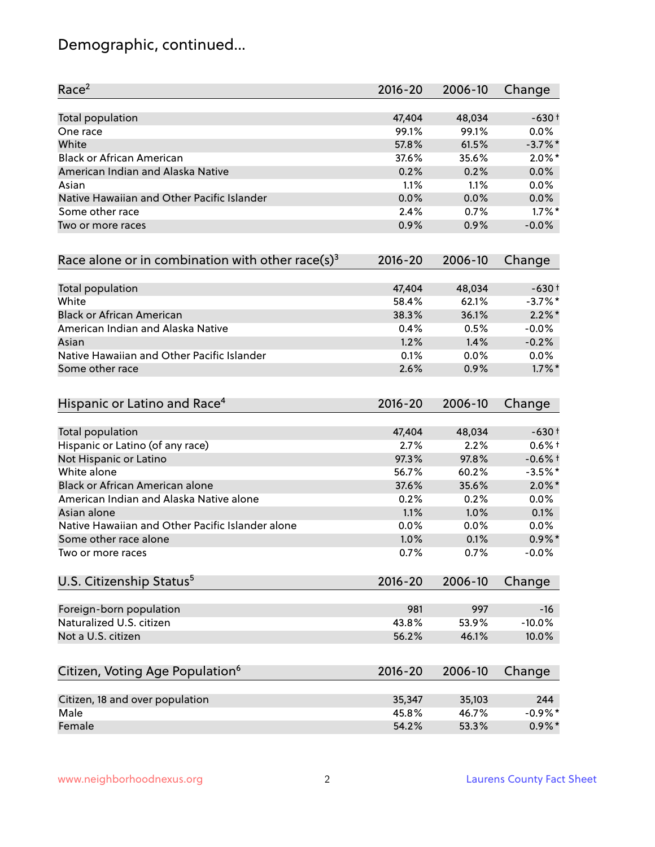# Demographic, continued...

| Race <sup>2</sup>                                            | $2016 - 20$ | 2006-10 | Change    |
|--------------------------------------------------------------|-------------|---------|-----------|
| <b>Total population</b>                                      | 47,404      | 48,034  | $-630+$   |
| One race                                                     | 99.1%       | 99.1%   | 0.0%      |
| White                                                        | 57.8%       | 61.5%   | $-3.7%$ * |
| <b>Black or African American</b>                             | 37.6%       | 35.6%   | $2.0\%$ * |
| American Indian and Alaska Native                            | 0.2%        | 0.2%    | 0.0%      |
| Asian                                                        | 1.1%        | 1.1%    | 0.0%      |
| Native Hawaiian and Other Pacific Islander                   | 0.0%        | 0.0%    | 0.0%      |
| Some other race                                              | 2.4%        | 0.7%    | $1.7\%$ * |
| Two or more races                                            | 0.9%        | 0.9%    | $-0.0%$   |
| Race alone or in combination with other race(s) <sup>3</sup> | $2016 - 20$ | 2006-10 | Change    |
| Total population                                             | 47,404      | 48,034  | $-630+$   |
| White                                                        | 58.4%       | 62.1%   | $-3.7%$ * |
| <b>Black or African American</b>                             | 38.3%       | 36.1%   | $2.2\%$ * |
| American Indian and Alaska Native                            | 0.4%        | 0.5%    | $-0.0%$   |
| Asian                                                        | 1.2%        | 1.4%    | $-0.2%$   |
| Native Hawaiian and Other Pacific Islander                   | 0.1%        | 0.0%    | $0.0\%$   |
| Some other race                                              | 2.6%        | 0.9%    | $1.7\%$ * |
| Hispanic or Latino and Race <sup>4</sup>                     | $2016 - 20$ | 2006-10 | Change    |
| <b>Total population</b>                                      | 47,404      | 48,034  | $-630+$   |
| Hispanic or Latino (of any race)                             | 2.7%        | 2.2%    | $0.6%$ +  |
| Not Hispanic or Latino                                       | 97.3%       | 97.8%   | $-0.6%$ † |
| White alone                                                  | 56.7%       | 60.2%   | $-3.5%$ * |
| Black or African American alone                              | 37.6%       | 35.6%   | $2.0\%$ * |
| American Indian and Alaska Native alone                      | 0.2%        | 0.2%    | 0.0%      |
| Asian alone                                                  | 1.1%        | 1.0%    | 0.1%      |
| Native Hawaiian and Other Pacific Islander alone             | 0.0%        | 0.0%    | 0.0%      |
| Some other race alone                                        | 1.0%        | 0.1%    | $0.9\% *$ |
| Two or more races                                            | 0.7%        | 0.7%    | $-0.0%$   |
| U.S. Citizenship Status <sup>5</sup>                         | $2016 - 20$ | 2006-10 | Change    |
| Foreign-born population                                      | 981         | 997     | $-16$     |
| Naturalized U.S. citizen                                     | 43.8%       | 53.9%   | $-10.0%$  |
| Not a U.S. citizen                                           | 56.2%       | 46.1%   | 10.0%     |
| Citizen, Voting Age Population <sup>6</sup>                  | $2016 - 20$ | 2006-10 | Change    |
|                                                              |             |         |           |
| Citizen, 18 and over population                              | 35,347      | 35,103  | 244       |
| Male                                                         | 45.8%       | 46.7%   | $-0.9%$ * |
| Female                                                       | 54.2%       | 53.3%   | $0.9\%$ * |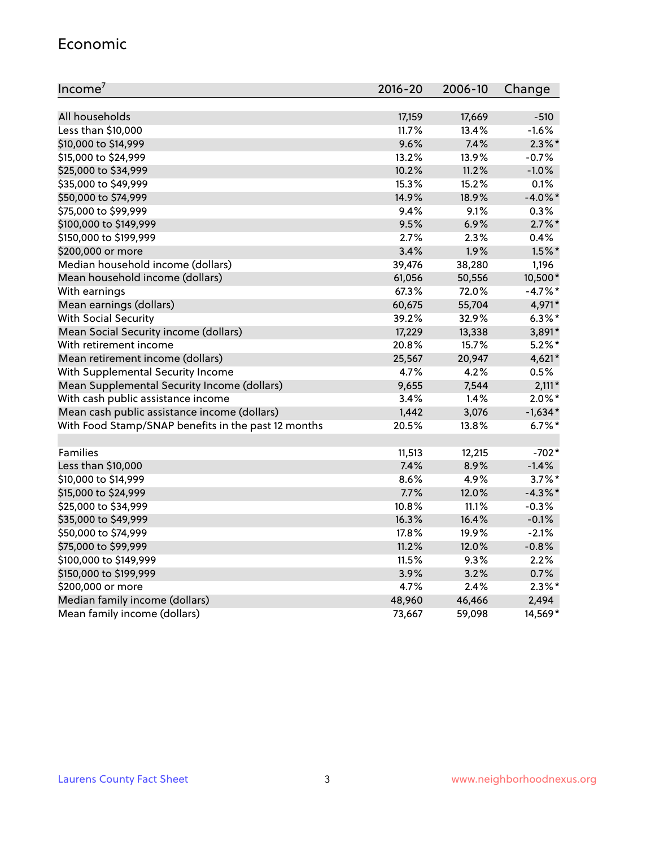#### Economic

| Income <sup>7</sup>                                 | $2016 - 20$ | 2006-10 | Change     |
|-----------------------------------------------------|-------------|---------|------------|
|                                                     |             |         |            |
| All households                                      | 17,159      | 17,669  | $-510$     |
| Less than \$10,000                                  | 11.7%       | 13.4%   | $-1.6%$    |
| \$10,000 to \$14,999                                | 9.6%        | 7.4%    | $2.3\%$ *  |
| \$15,000 to \$24,999                                | 13.2%       | 13.9%   | $-0.7%$    |
| \$25,000 to \$34,999                                | 10.2%       | 11.2%   | $-1.0%$    |
| \$35,000 to \$49,999                                | 15.3%       | 15.2%   | 0.1%       |
| \$50,000 to \$74,999                                | 14.9%       | 18.9%   | $-4.0\%$ * |
| \$75,000 to \$99,999                                | 9.4%        | 9.1%    | 0.3%       |
| \$100,000 to \$149,999                              | 9.5%        | 6.9%    | $2.7\%$ *  |
| \$150,000 to \$199,999                              | 2.7%        | 2.3%    | 0.4%       |
| \$200,000 or more                                   | 3.4%        | 1.9%    | $1.5\%$ *  |
| Median household income (dollars)                   | 39,476      | 38,280  | 1,196      |
| Mean household income (dollars)                     | 61,056      | 50,556  | 10,500*    |
| With earnings                                       | 67.3%       | 72.0%   | $-4.7%$ *  |
| Mean earnings (dollars)                             | 60,675      | 55,704  | 4,971*     |
| <b>With Social Security</b>                         | 39.2%       | 32.9%   | $6.3\%$ *  |
| Mean Social Security income (dollars)               | 17,229      | 13,338  | 3,891*     |
| With retirement income                              | 20.8%       | 15.7%   | $5.2\%$ *  |
| Mean retirement income (dollars)                    | 25,567      | 20,947  | $4,621*$   |
| With Supplemental Security Income                   | 4.7%        | 4.2%    | 0.5%       |
| Mean Supplemental Security Income (dollars)         | 9,655       | 7,544   | $2,111*$   |
| With cash public assistance income                  | 3.4%        | 1.4%    | $2.0\%$ *  |
| Mean cash public assistance income (dollars)        | 1,442       | 3,076   | $-1,634*$  |
| With Food Stamp/SNAP benefits in the past 12 months | 20.5%       | 13.8%   | $6.7%$ *   |
|                                                     |             |         |            |
| Families                                            | 11,513      | 12,215  | $-702*$    |
| Less than \$10,000                                  | 7.4%        | 8.9%    | $-1.4%$    |
| \$10,000 to \$14,999                                | 8.6%        | 4.9%    | $3.7\%$ *  |
| \$15,000 to \$24,999                                | 7.7%        | 12.0%   | $-4.3\%$ * |
| \$25,000 to \$34,999                                | 10.8%       | 11.1%   | $-0.3%$    |
| \$35,000 to \$49,999                                | 16.3%       | 16.4%   | $-0.1%$    |
| \$50,000 to \$74,999                                | 17.8%       | 19.9%   | $-2.1%$    |
| \$75,000 to \$99,999                                | 11.2%       | 12.0%   | $-0.8%$    |
| \$100,000 to \$149,999                              | 11.5%       | $9.3\%$ | 2.2%       |
| \$150,000 to \$199,999                              | 3.9%        | 3.2%    | 0.7%       |
| \$200,000 or more                                   | 4.7%        | 2.4%    | $2.3\%$ *  |
| Median family income (dollars)                      | 48,960      | 46,466  | 2,494      |
| Mean family income (dollars)                        | 73,667      | 59,098  | 14,569*    |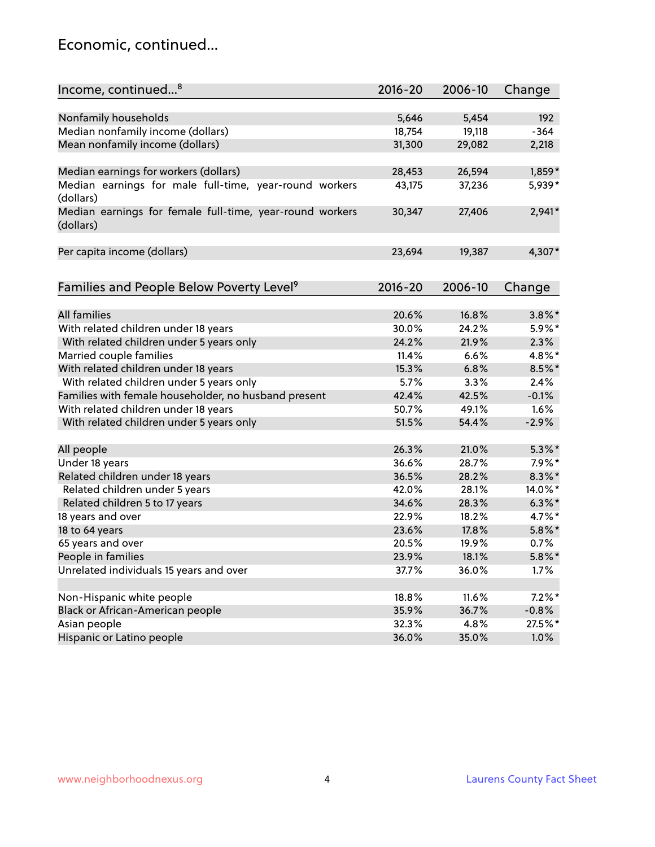### Economic, continued...

| Income, continued <sup>8</sup>                           | $2016 - 20$ | 2006-10 | Change    |
|----------------------------------------------------------|-------------|---------|-----------|
|                                                          |             |         |           |
| Nonfamily households                                     | 5,646       | 5,454   | 192       |
| Median nonfamily income (dollars)                        | 18,754      | 19,118  | $-364$    |
| Mean nonfamily income (dollars)                          | 31,300      | 29,082  | 2,218     |
|                                                          |             |         |           |
| Median earnings for workers (dollars)                    | 28,453      | 26,594  | 1,859*    |
| Median earnings for male full-time, year-round workers   | 43,175      | 37,236  | 5,939*    |
| (dollars)                                                |             |         |           |
| Median earnings for female full-time, year-round workers | 30,347      | 27,406  | $2,941*$  |
| (dollars)                                                |             |         |           |
|                                                          |             |         |           |
| Per capita income (dollars)                              | 23,694      | 19,387  | 4,307*    |
|                                                          |             |         |           |
| Families and People Below Poverty Level <sup>9</sup>     | $2016 - 20$ | 2006-10 | Change    |
|                                                          |             |         |           |
| <b>All families</b>                                      | 20.6%       | 16.8%   | $3.8\%$ * |
| With related children under 18 years                     | 30.0%       | 24.2%   | 5.9%*     |
| With related children under 5 years only                 | 24.2%       | 21.9%   | 2.3%      |
| Married couple families                                  | 11.4%       | 6.6%    | 4.8%*     |
| With related children under 18 years                     | 15.3%       | 6.8%    | 8.5%*     |
| With related children under 5 years only                 | 5.7%        | 3.3%    | 2.4%      |
| Families with female householder, no husband present     | 42.4%       | 42.5%   | $-0.1%$   |
| With related children under 18 years                     | 50.7%       | 49.1%   | 1.6%      |
| With related children under 5 years only                 | 51.5%       | 54.4%   | $-2.9%$   |
|                                                          |             |         |           |
| All people                                               | 26.3%       | 21.0%   | $5.3\%$ * |
| Under 18 years                                           | 36.6%       | 28.7%   | $7.9\%*$  |
| Related children under 18 years                          | 36.5%       | 28.2%   | $8.3\%$ * |
| Related children under 5 years                           | 42.0%       | 28.1%   | 14.0%*    |
| Related children 5 to 17 years                           | 34.6%       | 28.3%   | $6.3\%$ * |
| 18 years and over                                        | 22.9%       | 18.2%   | 4.7%*     |
| 18 to 64 years                                           | 23.6%       | 17.8%   | $5.8\%$ * |
| 65 years and over                                        | 20.5%       | 19.9%   | 0.7%      |
| People in families                                       | 23.9%       | 18.1%   | $5.8\%$ * |
| Unrelated individuals 15 years and over                  | 37.7%       | 36.0%   | 1.7%      |
|                                                          |             |         |           |
| Non-Hispanic white people                                | 18.8%       | 11.6%   | $7.2\%$ * |
| Black or African-American people                         | 35.9%       | 36.7%   | $-0.8%$   |
| Asian people                                             | 32.3%       | 4.8%    | 27.5%*    |
| Hispanic or Latino people                                | 36.0%       | 35.0%   | 1.0%      |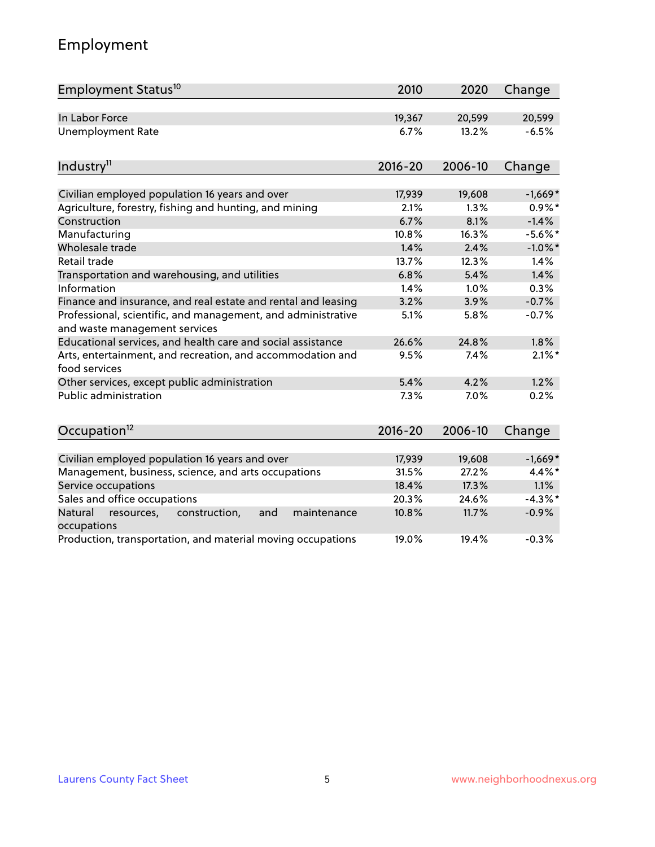# Employment

| Employment Status <sup>10</sup>                                                               | 2010        | 2020    | Change     |
|-----------------------------------------------------------------------------------------------|-------------|---------|------------|
| In Labor Force                                                                                | 19,367      | 20,599  | 20,599     |
| <b>Unemployment Rate</b>                                                                      | 6.7%        | 13.2%   | $-6.5%$    |
| Industry <sup>11</sup>                                                                        | $2016 - 20$ | 2006-10 | Change     |
| Civilian employed population 16 years and over                                                | 17,939      | 19,608  | $-1,669*$  |
| Agriculture, forestry, fishing and hunting, and mining                                        | 2.1%        | 1.3%    | $0.9\%*$   |
| Construction                                                                                  | 6.7%        | 8.1%    | $-1.4%$    |
| Manufacturing                                                                                 | 10.8%       | 16.3%   | $-5.6\%$ * |
| Wholesale trade                                                                               | 1.4%        | 2.4%    | $-1.0\%$ * |
| Retail trade                                                                                  | 13.7%       | 12.3%   | 1.4%       |
| Transportation and warehousing, and utilities                                                 | 6.8%        | 5.4%    | 1.4%       |
| Information                                                                                   | 1.4%        | 1.0%    | 0.3%       |
| Finance and insurance, and real estate and rental and leasing                                 | 3.2%        | 3.9%    | $-0.7%$    |
| Professional, scientific, and management, and administrative<br>and waste management services | 5.1%        | 5.8%    | $-0.7%$    |
| Educational services, and health care and social assistance                                   | 26.6%       | 24.8%   | 1.8%       |
| Arts, entertainment, and recreation, and accommodation and<br>food services                   | 9.5%        | 7.4%    | $2.1\%$ *  |
| Other services, except public administration                                                  | 5.4%        | 4.2%    | 1.2%       |
| <b>Public administration</b>                                                                  | 7.3%        | 7.0%    | 0.2%       |
| Occupation <sup>12</sup>                                                                      | $2016 - 20$ | 2006-10 | Change     |
|                                                                                               |             |         |            |
| Civilian employed population 16 years and over                                                | 17,939      | 19,608  | $-1,669*$  |
| Management, business, science, and arts occupations                                           | 31.5%       | 27.2%   | 4.4%*      |
| Service occupations                                                                           | 18.4%       | 17.3%   | 1.1%       |
| Sales and office occupations                                                                  | 20.3%       | 24.6%   | $-4.3%$ *  |
| Natural<br>resources,<br>construction,<br>and<br>maintenance<br>occupations                   | 10.8%       | 11.7%   | $-0.9%$    |
| Production, transportation, and material moving occupations                                   | 19.0%       | 19.4%   | $-0.3%$    |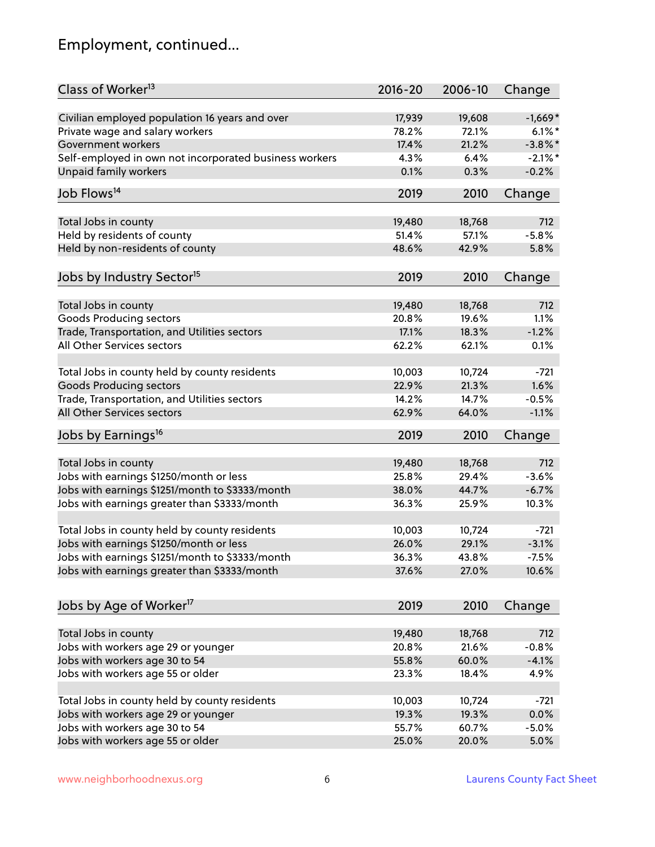# Employment, continued...

| Class of Worker <sup>13</sup>                          | $2016 - 20$ | 2006-10 | Change     |
|--------------------------------------------------------|-------------|---------|------------|
| Civilian employed population 16 years and over         | 17,939      | 19,608  | $-1,669*$  |
| Private wage and salary workers                        | 78.2%       | 72.1%   | $6.1\%$ *  |
| Government workers                                     | 17.4%       | 21.2%   | $-3.8\%$ * |
| Self-employed in own not incorporated business workers | 4.3%        | 6.4%    | $-2.1\%$ * |
| <b>Unpaid family workers</b>                           | 0.1%        | 0.3%    | $-0.2%$    |
| Job Flows <sup>14</sup>                                | 2019        | 2010    | Change     |
| Total Jobs in county                                   | 19,480      | 18,768  | 712        |
| Held by residents of county                            | 51.4%       | 57.1%   | $-5.8%$    |
| Held by non-residents of county                        | 48.6%       | 42.9%   | 5.8%       |
|                                                        |             |         |            |
| Jobs by Industry Sector <sup>15</sup>                  | 2019        | 2010    | Change     |
| Total Jobs in county                                   | 19,480      | 18,768  | 712        |
| <b>Goods Producing sectors</b>                         | 20.8%       | 19.6%   | 1.1%       |
| Trade, Transportation, and Utilities sectors           | 17.1%       | 18.3%   | $-1.2%$    |
| All Other Services sectors                             | 62.2%       | 62.1%   | 0.1%       |
|                                                        |             |         |            |
| Total Jobs in county held by county residents          | 10,003      | 10,724  | $-721$     |
| <b>Goods Producing sectors</b>                         | 22.9%       | 21.3%   | 1.6%       |
| Trade, Transportation, and Utilities sectors           | 14.2%       | 14.7%   | $-0.5%$    |
| All Other Services sectors                             | 62.9%       | 64.0%   | $-1.1%$    |
| Jobs by Earnings <sup>16</sup>                         | 2019        | 2010    | Change     |
|                                                        |             |         |            |
| Total Jobs in county                                   | 19,480      | 18,768  | 712        |
| Jobs with earnings \$1250/month or less                | 25.8%       | 29.4%   | $-3.6%$    |
| Jobs with earnings \$1251/month to \$3333/month        | 38.0%       | 44.7%   | $-6.7%$    |
| Jobs with earnings greater than \$3333/month           | 36.3%       | 25.9%   | 10.3%      |
| Total Jobs in county held by county residents          | 10,003      | 10,724  | $-721$     |
| Jobs with earnings \$1250/month or less                | 26.0%       | 29.1%   | $-3.1%$    |
| Jobs with earnings \$1251/month to \$3333/month        | 36.3%       | 43.8%   | $-7.5\%$   |
| Jobs with earnings greater than \$3333/month           | 37.6%       | 27.0%   | 10.6%      |
| Jobs by Age of Worker <sup>17</sup>                    | 2019        | 2010    | Change     |
|                                                        |             |         |            |
| Total Jobs in county                                   | 19,480      | 18,768  | 712        |
| Jobs with workers age 29 or younger                    | 20.8%       | 21.6%   | $-0.8%$    |
| Jobs with workers age 30 to 54                         | 55.8%       | 60.0%   | $-4.1%$    |
| Jobs with workers age 55 or older                      | 23.3%       | 18.4%   | 4.9%       |
| Total Jobs in county held by county residents          | 10,003      | 10,724  | $-721$     |
| Jobs with workers age 29 or younger                    | 19.3%       | 19.3%   | 0.0%       |
| Jobs with workers age 30 to 54                         | 55.7%       | 60.7%   | $-5.0%$    |
| Jobs with workers age 55 or older                      | 25.0%       | 20.0%   | 5.0%       |
|                                                        |             |         |            |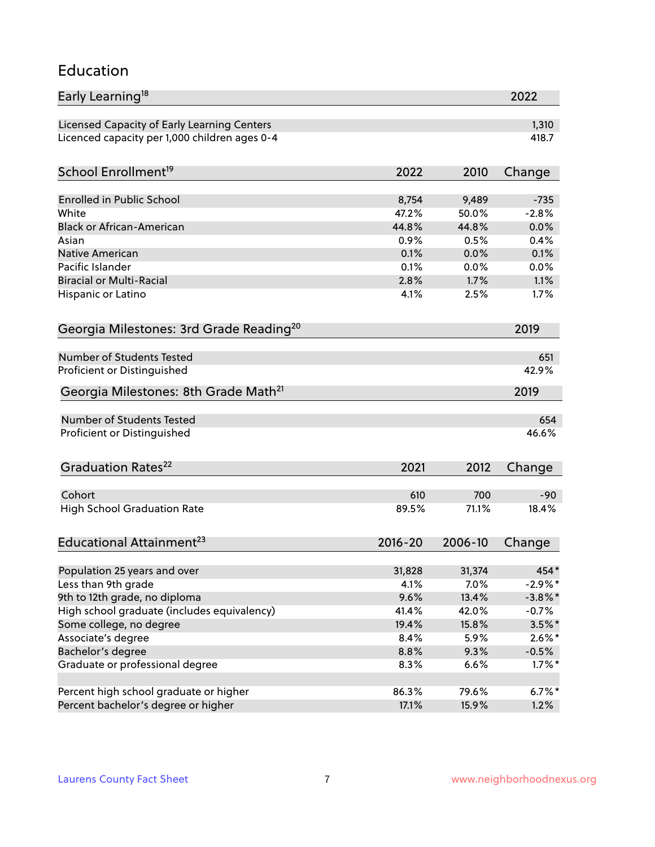#### Education

| Early Learning <sup>18</sup>                        |             |         | 2022       |
|-----------------------------------------------------|-------------|---------|------------|
| Licensed Capacity of Early Learning Centers         |             |         | 1,310      |
| Licenced capacity per 1,000 children ages 0-4       |             |         | 418.7      |
| School Enrollment <sup>19</sup>                     | 2022        | 2010    | Change     |
|                                                     |             |         |            |
| <b>Enrolled in Public School</b>                    | 8,754       | 9,489   | $-735$     |
| White                                               | 47.2%       | 50.0%   | $-2.8%$    |
| <b>Black or African-American</b>                    | 44.8%       | 44.8%   | 0.0%       |
| Asian                                               | 0.9%        | 0.5%    | 0.4%       |
| Native American                                     | 0.1%        | 0.0%    | 0.1%       |
| Pacific Islander                                    | 0.1%        | 0.0%    | 0.0%       |
| <b>Biracial or Multi-Racial</b>                     | 2.8%        | 1.7%    | 1.1%       |
| Hispanic or Latino                                  | 4.1%        | 2.5%    | 1.7%       |
| Georgia Milestones: 3rd Grade Reading <sup>20</sup> |             |         | 2019       |
|                                                     |             |         |            |
| Number of Students Tested                           |             |         | 651        |
| Proficient or Distinguished                         |             |         | 42.9%      |
| Georgia Milestones: 8th Grade Math <sup>21</sup>    |             |         | 2019       |
| Number of Students Tested                           |             |         | 654        |
| Proficient or Distinguished                         |             |         | 46.6%      |
| Graduation Rates <sup>22</sup>                      | 2021        | 2012    | Change     |
|                                                     |             |         |            |
| Cohort                                              | 610         | 700     | $-90$      |
| <b>High School Graduation Rate</b>                  | 89.5%       | 71.1%   | 18.4%      |
| Educational Attainment <sup>23</sup>                | $2016 - 20$ | 2006-10 | Change     |
|                                                     |             |         |            |
| Population 25 years and over                        | 31,828      | 31,374  | 454*       |
| Less than 9th grade                                 | 4.1%        | 7.0%    | $-2.9\%$ * |
| 9th to 12th grade, no diploma                       | 9.6%        | 13.4%   | $-3.8\%$ * |
| High school graduate (includes equivalency)         | 41.4%       | 42.0%   | $-0.7\%$   |
| Some college, no degree                             | 19.4%       | 15.8%   | $3.5\%$ *  |
| Associate's degree                                  | 8.4%        | 5.9%    | $2.6\%*$   |
| Bachelor's degree                                   | 8.8%        | 9.3%    | $-0.5%$    |
| Graduate or professional degree                     | 8.3%        | 6.6%    | $1.7\%$ *  |
| Percent high school graduate or higher              | 86.3%       | 79.6%   | $6.7\%$ *  |
| Percent bachelor's degree or higher                 | 17.1%       | 15.9%   | 1.2%       |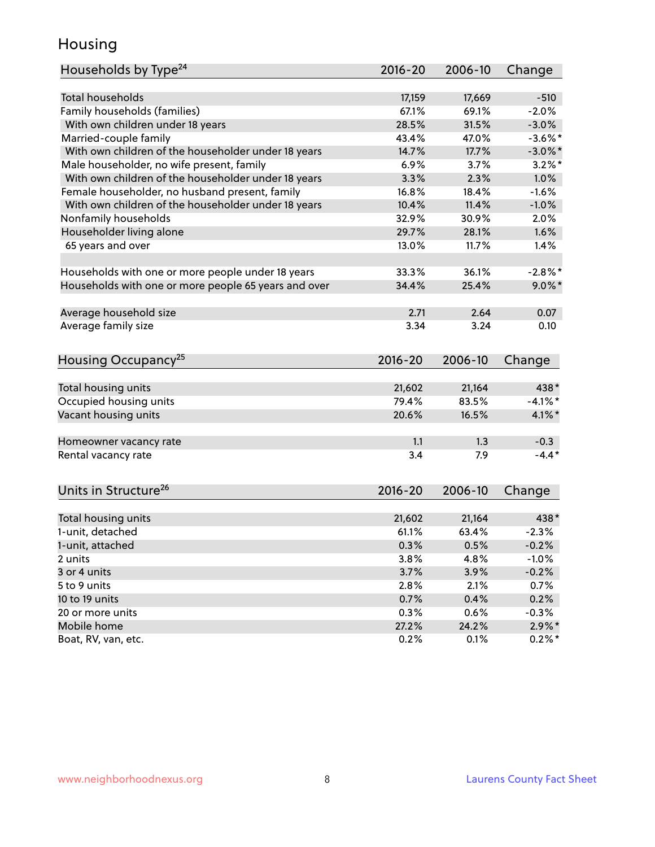### Housing

| Households by Type <sup>24</sup>                     | $2016 - 20$ | 2006-10 | Change     |
|------------------------------------------------------|-------------|---------|------------|
|                                                      |             |         |            |
| <b>Total households</b>                              | 17,159      | 17,669  | $-510$     |
| Family households (families)                         | 67.1%       | 69.1%   | $-2.0%$    |
| With own children under 18 years                     | 28.5%       | 31.5%   | $-3.0%$    |
| Married-couple family                                | 43.4%       | 47.0%   | $-3.6\%$ * |
| With own children of the householder under 18 years  | 14.7%       | 17.7%   | $-3.0\%$ * |
| Male householder, no wife present, family            | 6.9%        | 3.7%    | $3.2\%$ *  |
| With own children of the householder under 18 years  | 3.3%        | 2.3%    | 1.0%       |
| Female householder, no husband present, family       | 16.8%       | 18.4%   | $-1.6%$    |
| With own children of the householder under 18 years  | 10.4%       | 11.4%   | $-1.0%$    |
| Nonfamily households                                 | 32.9%       | 30.9%   | 2.0%       |
| Householder living alone                             | 29.7%       | 28.1%   | 1.6%       |
| 65 years and over                                    | 13.0%       | 11.7%   | 1.4%       |
|                                                      |             |         |            |
| Households with one or more people under 18 years    | 33.3%       | 36.1%   | $-2.8\%$ * |
| Households with one or more people 65 years and over | 34.4%       | 25.4%   | $9.0\%$ *  |
| Average household size                               | 2.71        | 2.64    | 0.07       |
| Average family size                                  | 3.34        | 3.24    | 0.10       |
|                                                      |             |         |            |
| Housing Occupancy <sup>25</sup>                      | $2016 - 20$ | 2006-10 | Change     |
|                                                      |             |         |            |
| Total housing units                                  | 21,602      | 21,164  | 438*       |
| Occupied housing units                               | 79.4%       | 83.5%   | $-4.1\%$ * |
| Vacant housing units                                 | 20.6%       | 16.5%   | $4.1\%$ *  |
| Homeowner vacancy rate                               | 1.1         | 1.3     | $-0.3$     |
| Rental vacancy rate                                  | 3.4         | 7.9     | $-4.4*$    |
|                                                      |             |         |            |
| Units in Structure <sup>26</sup>                     | $2016 - 20$ | 2006-10 | Change     |
|                                                      | 21,602      | 21,164  | 438*       |
| Total housing units<br>1-unit, detached              | 61.1%       | 63.4%   | $-2.3%$    |
|                                                      |             |         |            |
| 1-unit, attached                                     | 0.3%        | 0.5%    | $-0.2%$    |
| 2 units                                              | 3.8%        | 4.8%    | $-1.0%$    |
| 3 or 4 units                                         | 3.7%        | 3.9%    | $-0.2%$    |
| 5 to 9 units                                         | 2.8%        | 2.1%    | 0.7%       |
| 10 to 19 units                                       | 0.7%        | 0.4%    | 0.2%       |
| 20 or more units                                     | 0.3%        | 0.6%    | $-0.3%$    |
| Mobile home                                          | 27.2%       | 24.2%   | $2.9\%$ *  |
| Boat, RV, van, etc.                                  | 0.2%        | 0.1%    | $0.2\%$ *  |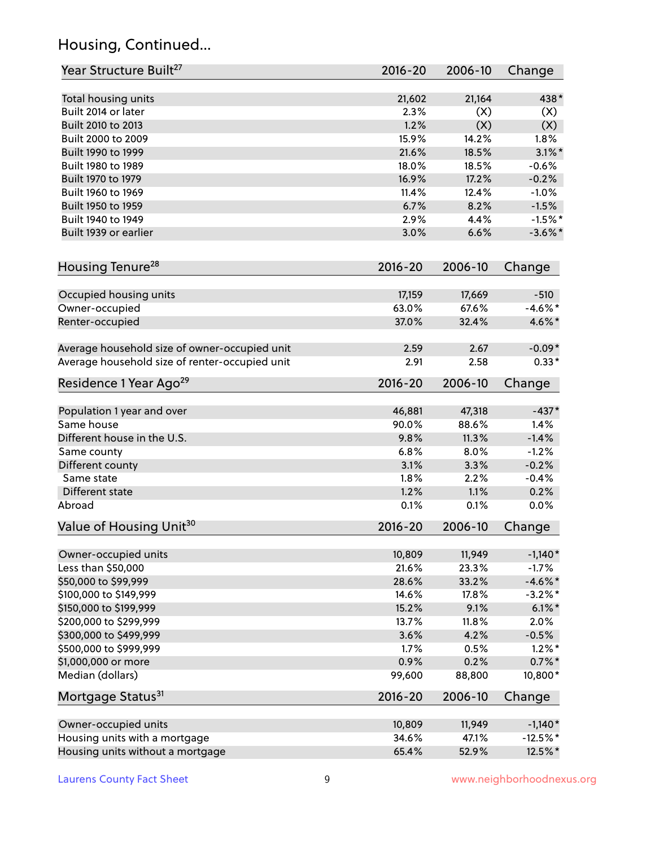# Housing, Continued...

| Year Structure Built <sup>27</sup>             | 2016-20         | 2006-10         | Change               |
|------------------------------------------------|-----------------|-----------------|----------------------|
| Total housing units                            | 21,602          | 21,164          | 438*                 |
| Built 2014 or later                            | 2.3%            | (X)             | (X)                  |
| Built 2010 to 2013                             | 1.2%            | (X)             | (X)                  |
| Built 2000 to 2009                             | 15.9%           | 14.2%           | 1.8%                 |
| Built 1990 to 1999                             | 21.6%           | 18.5%           | $3.1\%$ *            |
| Built 1980 to 1989                             | 18.0%           | 18.5%           | $-0.6%$              |
| Built 1970 to 1979                             | 16.9%           | 17.2%           | $-0.2%$              |
| Built 1960 to 1969                             | 11.4%           | 12.4%           | $-1.0%$              |
| Built 1950 to 1959                             | 6.7%            | 8.2%            | $-1.5%$              |
| Built 1940 to 1949                             | 2.9%            | 4.4%            | $-1.5%$ *            |
| Built 1939 or earlier                          | 3.0%            | 6.6%            | $-3.6\%$ *           |
| Housing Tenure <sup>28</sup>                   | 2016-20         | 2006-10         | Change               |
|                                                |                 |                 |                      |
| Occupied housing units                         | 17,159<br>63.0% | 17,669<br>67.6% | $-510$<br>$-4.6\%$ * |
| Owner-occupied                                 | 37.0%           | 32.4%           |                      |
| Renter-occupied                                |                 |                 | 4.6%*                |
| Average household size of owner-occupied unit  | 2.59            | 2.67            | $-0.09*$             |
| Average household size of renter-occupied unit | 2.91            | 2.58            | $0.33*$              |
| Residence 1 Year Ago <sup>29</sup>             | 2016-20         | 2006-10         | Change               |
| Population 1 year and over                     | 46,881          | 47,318          | $-437*$              |
| Same house                                     | 90.0%           | 88.6%           | 1.4%                 |
| Different house in the U.S.                    | 9.8%            | 11.3%           | $-1.4%$              |
| Same county                                    | 6.8%            | 8.0%            | $-1.2%$              |
| Different county                               | 3.1%            | 3.3%            | $-0.2%$              |
| Same state                                     | 1.8%            | 2.2%            | $-0.4%$              |
| Different state                                | 1.2%            | 1.1%            | 0.2%                 |
| Abroad                                         | 0.1%            | 0.1%            | 0.0%                 |
| Value of Housing Unit <sup>30</sup>            | 2016-20         | 2006-10         | Change               |
|                                                |                 |                 |                      |
| Owner-occupied units                           | 10,809          | 11,949          | $-1,140*$            |
| Less than \$50,000                             | 21.6%           | 23.3%           | $-1.7%$              |
| \$50,000 to \$99,999                           | 28.6%           | 33.2%           | $-4.6\%$ *           |
| \$100,000 to \$149,999                         | 14.6%           | 17.8%           | $-3.2\%$ *           |
| \$150,000 to \$199,999                         | 15.2%           | 9.1%            | $6.1\%$ *            |
| \$200,000 to \$299,999                         | 13.7%           | 11.8%           | 2.0%                 |
| \$300,000 to \$499,999                         | 3.6%            | 4.2%            | $-0.5%$              |
| \$500,000 to \$999,999                         | 1.7%            | 0.5%            | $1.2\%$ *            |
| \$1,000,000 or more                            | 0.9%            | 0.2%            | $0.7\%$ *            |
| Median (dollars)                               | 99,600          | 88,800          | 10,800*              |
| Mortgage Status <sup>31</sup>                  | 2016-20         | 2006-10         | Change               |
| Owner-occupied units                           | 10,809          | 11,949          | $-1,140*$            |
| Housing units with a mortgage                  | 34.6%           | 47.1%           | $-12.5%$ *           |
| Housing units without a mortgage               | 65.4%           | 52.9%           | 12.5%*               |
|                                                |                 |                 |                      |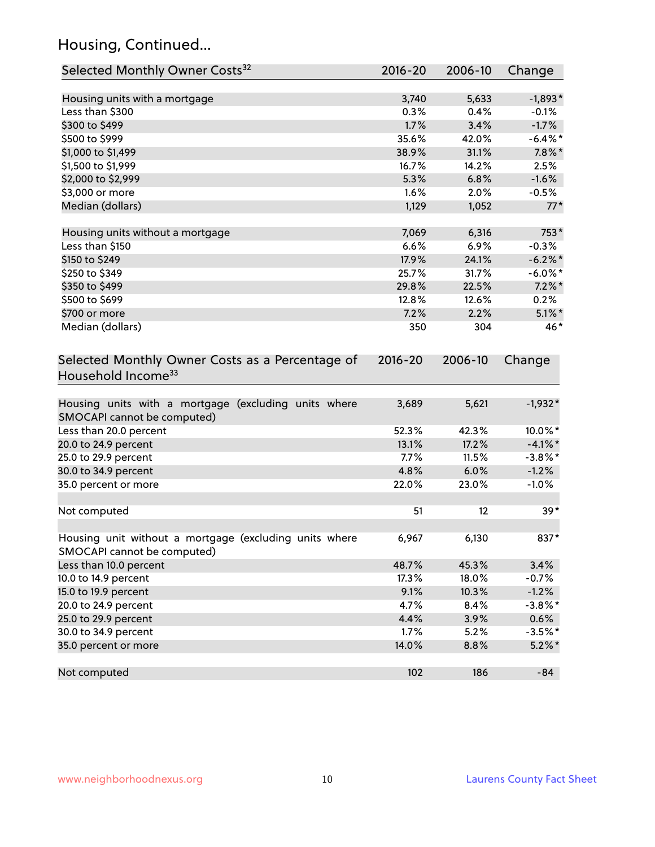# Housing, Continued...

| Selected Monthly Owner Costs <sup>32</sup>                                            | 2016-20     | 2006-10 | Change     |
|---------------------------------------------------------------------------------------|-------------|---------|------------|
| Housing units with a mortgage                                                         | 3,740       | 5,633   | $-1,893*$  |
| Less than \$300                                                                       | 0.3%        | 0.4%    | $-0.1%$    |
| \$300 to \$499                                                                        | 1.7%        | 3.4%    | $-1.7%$    |
| \$500 to \$999                                                                        | 35.6%       | 42.0%   | $-6.4\%$ * |
| \$1,000 to \$1,499                                                                    | 38.9%       | 31.1%   | $7.8\%$ *  |
| \$1,500 to \$1,999                                                                    | 16.7%       | 14.2%   | 2.5%       |
| \$2,000 to \$2,999                                                                    | 5.3%        | 6.8%    | $-1.6%$    |
| \$3,000 or more                                                                       | 1.6%        | 2.0%    | $-0.5%$    |
| Median (dollars)                                                                      | 1,129       | 1,052   | $77*$      |
| Housing units without a mortgage                                                      | 7,069       | 6,316   | 753*       |
| Less than \$150                                                                       | 6.6%        | 6.9%    | $-0.3%$    |
| \$150 to \$249                                                                        | 17.9%       | 24.1%   | $-6.2\%$ * |
| \$250 to \$349                                                                        | 25.7%       | 31.7%   | $-6.0\%$ * |
| \$350 to \$499                                                                        | 29.8%       | 22.5%   | $7.2\%$ *  |
| \$500 to \$699                                                                        | 12.8%       | 12.6%   | 0.2%       |
| \$700 or more                                                                         | 7.2%        | 2.2%    | $5.1\%$ *  |
| Median (dollars)                                                                      | 350         | 304     | 46*        |
| Selected Monthly Owner Costs as a Percentage of<br>Household Income <sup>33</sup>     | $2016 - 20$ | 2006-10 | Change     |
| Housing units with a mortgage (excluding units where<br>SMOCAPI cannot be computed)   | 3,689       | 5,621   | $-1,932*$  |
| Less than 20.0 percent                                                                | 52.3%       | 42.3%   | 10.0%*     |
| 20.0 to 24.9 percent                                                                  | 13.1%       | 17.2%   | $-4.1\%$ * |
| 25.0 to 29.9 percent                                                                  | 7.7%        | 11.5%   | $-3.8\%$ * |
| 30.0 to 34.9 percent                                                                  | 4.8%        | 6.0%    | $-1.2%$    |
| 35.0 percent or more                                                                  | 22.0%       | 23.0%   | $-1.0%$    |
| Not computed                                                                          | 51          | 12      | $39*$      |
| Housing unit without a mortgage (excluding units where<br>SMOCAPI cannot be computed) | 6,967       | 6,130   | 837*       |
| Less than 10.0 percent                                                                | 48.7%       | 45.3%   | 3.4%       |
| 10.0 to 14.9 percent                                                                  | 17.3%       | 18.0%   | $-0.7%$    |
| 15.0 to 19.9 percent                                                                  | 9.1%        | 10.3%   | $-1.2%$    |
| 20.0 to 24.9 percent                                                                  | 4.7%        | 8.4%    | $-3.8\%$ * |
| 25.0 to 29.9 percent                                                                  | 4.4%        | 3.9%    | 0.6%       |
| 30.0 to 34.9 percent                                                                  | 1.7%        | 5.2%    | $-3.5%$ *  |
| 35.0 percent or more                                                                  | 14.0%       | 8.8%    | $5.2\%$ *  |
| Not computed                                                                          | 102         | 186     | $-84$      |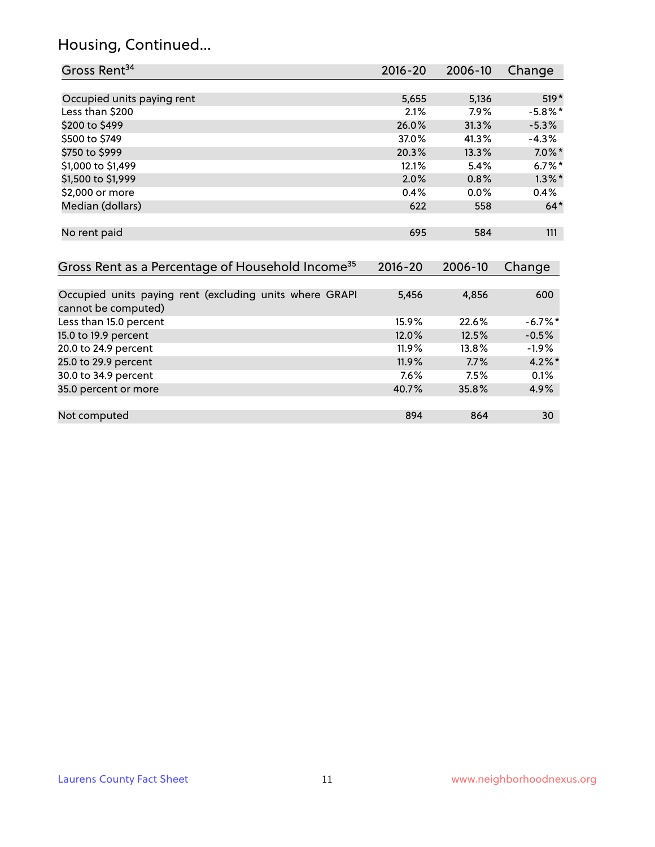# Housing, Continued...

| Gross Rent <sup>34</sup>                                                       | $2016 - 20$ | $2006 - 10$ | Change     |
|--------------------------------------------------------------------------------|-------------|-------------|------------|
|                                                                                |             |             |            |
| Occupied units paying rent                                                     | 5,655       | 5,136       | $519*$     |
| Less than \$200                                                                | 2.1%        | 7.9%        | $-5.8\%$ * |
| \$200 to \$499                                                                 | 26.0%       | 31.3%       | $-5.3\%$   |
| \$500 to \$749                                                                 | 37.0%       | 41.3%       | $-4.3\%$   |
| \$750 to \$999                                                                 | 20.3%       | 13.3%       | $7.0\%$ *  |
| \$1,000 to \$1,499                                                             | 12.1%       | 5.4%        | $6.7\%$ *  |
| \$1,500 to \$1,999                                                             | 2.0%        | 0.8%        | $1.3\%$ *  |
| \$2,000 or more                                                                | 0.4%        | 0.0%        | 0.4%       |
| Median (dollars)                                                               | 622         | 558         | $64*$      |
| No rent paid                                                                   | 695         | 584         | 111        |
| Gross Rent as a Percentage of Household Income <sup>35</sup>                   | $2016 - 20$ | 2006-10     | Change     |
| Occupied units paying rent (excluding units where GRAPI<br>cannot be computed) | 5,456       | 4,856       | 600        |
| Less than 15.0 percent                                                         | 15.9%       | 22.6%       | $-6.7%$ *  |
| 15.0 to 19.9 percent                                                           | 12.0%       | 12.5%       | $-0.5%$    |
| 20.0 to 24.9 percent                                                           | 11.9%       | 13.8%       | $-1.9\%$   |
| 25.0 to 29.9 percent                                                           | 11.9%       | 7.7%        | $4.2\%$ *  |
| 30.0 to 34.9 percent                                                           | 7.6%        | 7.5%        | 0.1%       |
| 35.0 percent or more                                                           | 40.7%       | 35.8%       | 4.9%       |

Not computed and the set of the set of the set of the set of the set of the set of the set of the set of the set of the set of the set of the set of the set of the set of the set of the set of the set of the set of the set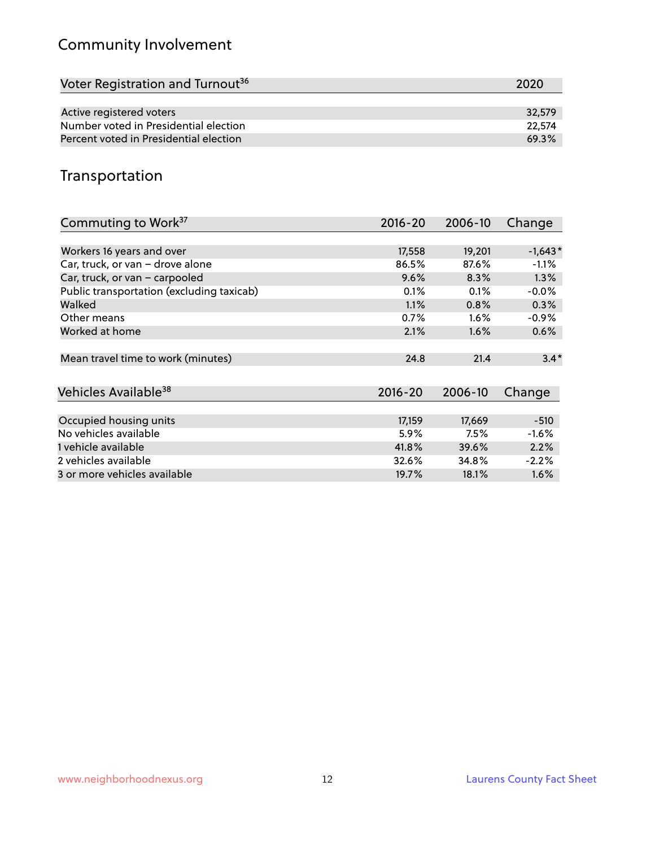# Community Involvement

| 2020   |
|--------|
|        |
| 32,579 |
| 22,574 |
| 69.3%  |
|        |

## Transportation

| Commuting to Work <sup>37</sup>           | 2016-20     | 2006-10 | Change    |
|-------------------------------------------|-------------|---------|-----------|
|                                           |             |         |           |
| Workers 16 years and over                 | 17,558      | 19,201  | $-1,643*$ |
| Car, truck, or van - drove alone          | 86.5%       | 87.6%   | $-1.1\%$  |
| Car, truck, or van - carpooled            | 9.6%        | 8.3%    | $1.3\%$   |
| Public transportation (excluding taxicab) | 0.1%        | 0.1%    | $-0.0%$   |
| Walked                                    | 1.1%        | 0.8%    | 0.3%      |
| Other means                               | 0.7%        | $1.6\%$ | $-0.9\%$  |
| Worked at home                            | 2.1%        | $1.6\%$ | 0.6%      |
|                                           |             |         |           |
| Mean travel time to work (minutes)        | 24.8        | 21.4    | $3.4*$    |
|                                           |             |         |           |
| Vehicles Available <sup>38</sup>          | $2016 - 20$ | 2006-10 | Change    |
|                                           |             |         |           |
| Occupied housing units                    | 17,159      | 17,669  | $-510$    |
| No vehicles available                     | 5.9%        | 7.5%    | $-1.6%$   |
| 1 vehicle available                       | 41.8%       | 39.6%   | 2.2%      |
| 2 vehicles available                      | 32.6%       | 34.8%   | $-2.2%$   |
| 3 or more vehicles available              | 19.7%       | 18.1%   | $1.6\%$   |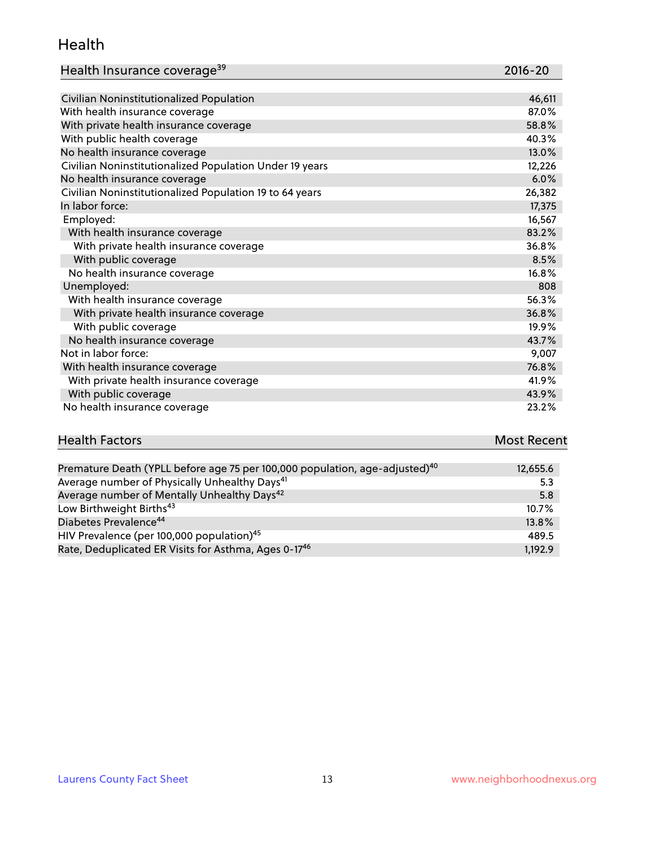#### Health

| Health Insurance coverage <sup>39</sup> | 2016-20 |
|-----------------------------------------|---------|
|-----------------------------------------|---------|

| Civilian Noninstitutionalized Population                | 46,611 |
|---------------------------------------------------------|--------|
| With health insurance coverage                          | 87.0%  |
| With private health insurance coverage                  | 58.8%  |
| With public health coverage                             | 40.3%  |
| No health insurance coverage                            | 13.0%  |
| Civilian Noninstitutionalized Population Under 19 years | 12,226 |
| No health insurance coverage                            | 6.0%   |
| Civilian Noninstitutionalized Population 19 to 64 years | 26,382 |
| In labor force:                                         | 17,375 |
| Employed:                                               | 16,567 |
| With health insurance coverage                          | 83.2%  |
| With private health insurance coverage                  | 36.8%  |
| With public coverage                                    | 8.5%   |
| No health insurance coverage                            | 16.8%  |
| Unemployed:                                             | 808    |
| With health insurance coverage                          | 56.3%  |
| With private health insurance coverage                  | 36.8%  |
| With public coverage                                    | 19.9%  |
| No health insurance coverage                            | 43.7%  |
| Not in labor force:                                     | 9,007  |
| With health insurance coverage                          | 76.8%  |
| With private health insurance coverage                  | 41.9%  |
| With public coverage                                    | 43.9%  |
| No health insurance coverage                            | 23.2%  |

# **Health Factors Most Recent** And The Control of the Control of The Control of The Control of The Control of The Control of The Control of The Control of The Control of The Control of The Control of The Control of The Contr

| Premature Death (YPLL before age 75 per 100,000 population, age-adjusted) <sup>40</sup> | 12,655.6 |
|-----------------------------------------------------------------------------------------|----------|
| Average number of Physically Unhealthy Days <sup>41</sup>                               | 5.3      |
| Average number of Mentally Unhealthy Days <sup>42</sup>                                 | 5.8      |
| Low Birthweight Births <sup>43</sup>                                                    | $10.7\%$ |
| Diabetes Prevalence <sup>44</sup>                                                       | 13.8%    |
| HIV Prevalence (per 100,000 population) <sup>45</sup>                                   | 489.5    |
| Rate, Deduplicated ER Visits for Asthma, Ages 0-17 <sup>46</sup>                        | 1.192.9  |